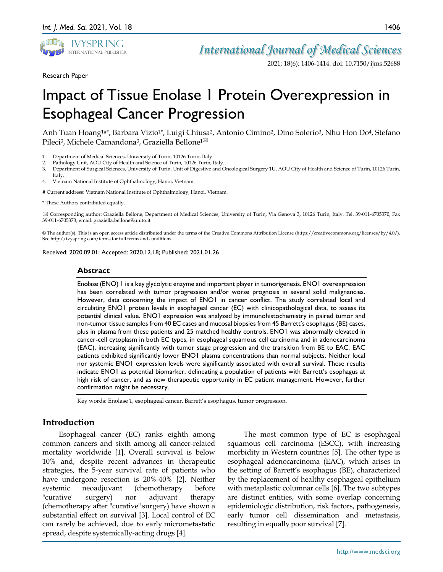

*International Journal of Medical Sciences*

2021; 18(6): 1406-1414. doi: 10.7150/ijms.52688

Research Paper

# Impact of Tissue Enolase 1 Protein Overexpression in Esophageal Cancer Progression

Anh Tuan Hoang<sup>1#\*</sup>, Barbara Vizio<sup>1\*</sup>, Luigi Chiusa<sup>2</sup>, Antonio Cimino<sup>2</sup>, Dino Solerio<sup>3</sup>, Nhu Hon Do<sup>4</sup>, Stefano Pileci<sup>3</sup>, Michele Camandona<sup>3</sup>, Graziella Bellone<sup>1⊠</sup>

- 1. Department of Medical Sciences, University of Turin, 10126 Turin, Italy.
- 2. Pathology Unit, AOU City of Health and Science of Turin, 10126 Turin, Italy.
- 3. Department of Surgical Sciences, University of Turin, Unit of Digestive and Oncological Surgery 1U, AOU City of Health and Science of Turin, 10126 Turin, Italy.
- 4. Vietnam National Institute of Ophthalmology, Hanoi, Vietnam.

# Current address: Vietnam National Institute of Ophthalmology, Hanoi, Vietnam.

\* These Authors contributed equally.

 Corresponding author: Graziella Bellone, Department of Medical Sciences, University of Turin, Via Genova 3, 10126 Turin, Italy. Tel. 39-011-6705370, Fax 39-011-6705373, email: graziella.bellone@unito.it

© The author(s). This is an open access article distributed under the terms of the Creative Commons Attribution License (https://creativecommons.org/licenses/by/4.0/). See http://ivyspring.com/terms for full terms and conditions.

Received: 2020.09.01; Accepted: 2020.12.18; Published: 2021.01.26

#### **Abstract**

Enolase (ENO) 1 is a key glycolytic enzyme and important player in tumorigenesis. ENO1 overexpression has been correlated with tumor progression and/or worse prognosis in several solid malignancies. However, data concerning the impact of ENO1 in cancer conflict. The study correlated local and circulating ENO1 protein levels in esophageal cancer (EC) with clinicopathological data, to assess its potential clinical value. ENO1 expression was analyzed by immunohistochemistry in paired tumor and non-tumor tissue samples from 40 EC cases and mucosal biopsies from 45 Barrett's esophagus (BE) cases, plus in plasma from these patients and 25 matched healthy controls. ENO1 was abnormally elevated in cancer-cell cytoplasm in both EC types, in esophageal squamous cell carcinoma and in adenocarcinoma (EAC), increasing significantly with tumor stage progression and the transition from BE to EAC. EAC patients exhibited significantly lower ENO1 plasma concentrations than normal subjects. Neither local nor systemic ENO1 expression levels were significantly associated with overall survival. These results indicate ENO1 as potential biomarker, delineating a population of patients with Barrett's esophagus at high risk of cancer, and as new therapeutic opportunity in EC patient management. However, further confirmation might be necessary.

Key words: Enolase 1, esophageal cancer, Barrett's esophagus, tumor progression.

# **Introduction**

Esophageal cancer (EC) ranks eighth among common cancers and sixth among all cancer-related mortality worldwide [1]. Overall survival is below 10% and, despite recent advances in therapeutic strategies, the 5-year survival rate of patients who have undergone resection is 20%-40% [2]. Neither systemic neoadjuvant (chemotherapy before "curative" surgery) nor adjuvant therapy (chemotherapy after "curative" surgery) have shown a substantial effect on survival [3]. Local control of EC can rarely be achieved, due to early micrometastatic spread, despite systemically-acting drugs [4].

The most common type of EC is esophageal squamous cell carcinoma (ESCC), with increasing morbidity in Western countries [5]. The other type is esophageal adenocarcinoma (EAC), which arises in the setting of Barrett's esophagus (BE), characterized by the replacement of healthy esophageal epithelium with metaplastic columnar cells [6]. The two subtypes are distinct entities, with some overlap concerning epidemiologic distribution, risk factors, pathogenesis, early tumor cell dissemination and metastasis, resulting in equally poor survival [7].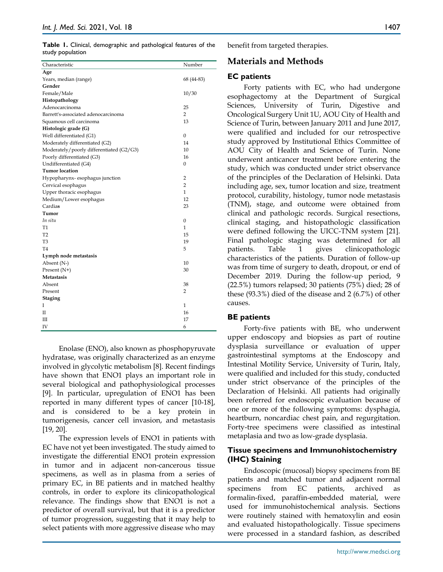**Table 1.** Clinical, demographic and pathological features of the study population

| Characteristic                           | Number           |
|------------------------------------------|------------------|
| Age                                      |                  |
| Years, median (range)                    | 68 (44-83)       |
| Gender                                   |                  |
| Female/Male                              | 10/30            |
| Histopathology                           |                  |
| Adenocarcinoma                           | 25               |
| Barrett's-associated adenocarcinoma      | $\overline{2}$   |
| Squamous cell carcinoma                  | 13               |
| Histologic grade (G)                     |                  |
| Well differentiated (G1)                 | $\mathbf{0}$     |
| Moderately differentiated (G2)           | 14               |
| Moderately/poorly differentiated (G2/G3) | 10               |
| Poorly differentiated (G3)               | 16               |
| Undifferentiated (G4)                    | $\boldsymbol{0}$ |
| <b>Tumor location</b>                    |                  |
| Hypopharynx-esophagus junction           | $\overline{2}$   |
| Cervical esophagus                       | 2                |
| Upper thoracic esophagus                 | $\mathbf{1}$     |
| Medium/Lower esophagus                   | 12               |
| Cardias                                  | 23               |
| Tumor                                    |                  |
| In situ                                  | $\mathbf{0}$     |
| T1                                       | $\mathbf{1}$     |
| T <sub>2</sub>                           | 15               |
| T <sub>3</sub>                           | 19               |
| T <sub>4</sub>                           | 5                |
| Lymph node metastasis                    |                  |
| Absent (N-)                              | 10               |
| Present (N+)                             | 30               |
| <b>Metastasis</b>                        |                  |
| Absent                                   | 38               |
| Present                                  | $\overline{2}$   |
| <b>Staging</b>                           |                  |
| I                                        | $\mathbf{1}$     |
| П                                        | 16               |
| Ш                                        | 17               |
| IV                                       | 6                |

Enolase (ENO), also known as phosphopyruvate hydratase, was originally characterized as an enzyme involved in glycolytic metabolism [8]. Recent findings have shown that ENO1 plays an important role in several biological and pathophysiological processes [9]. In particular, upregulation of ENO1 has been reported in many different types of cancer [10-18], and is considered to be a key protein in tumorigenesis, cancer cell invasion, and metastasis [19, 20].

The expression levels of ENO1 in patients with EC have not yet been investigated. The study aimed to investigate the differential ENO1 protein expression in tumor and in adjacent non-cancerous tissue specimens, as well as in plasma from a series of primary EC, in BE patients and in matched healthy controls, in order to explore its clinicopathological relevance. The findings show that ENO1 is not a predictor of overall survival, but that it is a predictor of tumor progression, suggesting that it may help to select patients with more aggressive disease who may benefit from targeted therapies.

# **Materials and Methods**

### **EC patients**

Forty patients with EC, who had undergone esophagectomy at the Department of Surgical Sciences, University of Turin, Digestive and Oncological Surgery Unit 1U, AOU City of Health and Science of Turin, between January 2011 and June 2017, were qualified and included for our retrospective study approved by Institutional Ethics Committee of AOU City of Health and Science of Turin. None underwent anticancer treatment before entering the study, which was conducted under strict observance of the principles of the Declaration of Helsinki. Data including age, sex, tumor location and size, treatment protocol, curability, histology, tumor node metastasis (TNM), stage, and outcome were obtained from clinical and pathologic records. Surgical resections, clinical staging, and histopathologic classification were defined following the UICC-TNM system [21]. Final pathologic staging was determined for all patients. Table 1 gives clinicopathologic characteristics of the patients. Duration of follow-up was from time of surgery to death, dropout, or end of December 2019. During the follow-up period, 9 (22.5%) tumors relapsed; 30 patients (75%) died; 28 of these (93.3%) died of the disease and 2 (6.7%) of other causes.

# **BE patients**

Forty-five patients with BE, who underwent upper endoscopy and biopsies as part of routine dysplasia surveillance or evaluation of upper gastrointestinal symptoms at the Endoscopy and Intestinal Motility Service, University of Turin, Italy, were qualified and included for this study, conducted under strict observance of the principles of the Declaration of Helsinki. All patients had originally been referred for endoscopic evaluation because of one or more of the following symptoms: dysphagia, heartburn, noncardiac chest pain, and regurgitation. Forty-tree specimens were classified as intestinal metaplasia and two as low-grade dysplasia.

# **Tissue specimens and Immunohistochemistry (IHC) Staining**

Endoscopic (mucosal) biopsy specimens from BE patients and matched tumor and adjacent normal specimens from EC patients, archived as formalin-fixed, paraffin-embedded material, were used for immunohistochemical analysis. Sections were routinely stained with hematoxylin and eosin and evaluated histopathologically. Tissue specimens were processed in a standard fashion, as described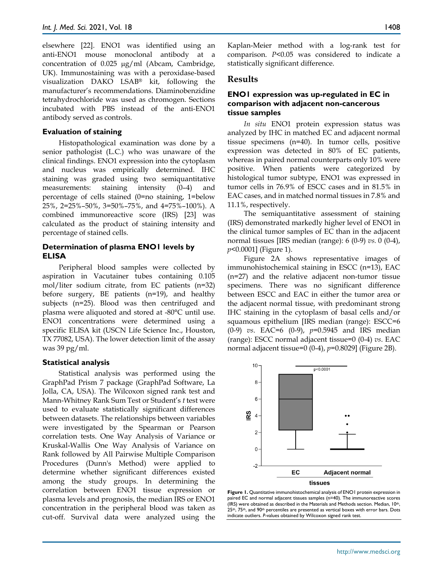elsewhere [22]. ENO1 was identified using an anti-ENO1 mouse monoclonal antibody at a concentration of 0.025 µg/ml (Abcam, Cambridge, UK). Immunostaining was with a peroxidase-based visualization DAKO LSAB® kit, following the manufacturer's recommendations. Diaminobenzidine tetrahydrochloride was used as chromogen. Sections incubated with PBS instead of the anti-ENO1 antibody served as controls.

#### **Evaluation of staining**

Histopathological examination was done by a senior pathologist (L.C.) who was unaware of the clinical findings. ENO1 expression into the cytoplasm and nucleus was empirically determined. IHC staining was graded using two semiquantitative measurements: staining intensity (0–4) and percentage of cells stained (0=no staining, 1=below 25%, 2=25%–50%, 3=50%–75%, and 4=75%–100%). A combined immunoreactive score (IRS) [23] was calculated as the product of staining intensity and percentage of stained cells.

#### **Determination of plasma ENO1 levels by ELISA**

Peripheral blood samples were collected by aspiration in Vacutainer tubes containing 0.105 mol/liter sodium citrate, from EC patients (n=32) before surgery, BE patients (n=19), and healthy subjects (n=25). Blood was then centrifuged and plasma were aliquoted and stored at -80°C until use. ENO1 concentrations were determined using a specific ELISA kit (USCN Life Science Inc., Houston, TX 77082, USA). The lower detection limit of the assay was 39 pg/ml.

#### **Statistical analysis**

Statistical analysis was performed using the GraphPad Prism 7 package (GraphPad Software, La Jolla, CA, USA). The Wilcoxon signed rank test and Mann-Whitney Rank Sum Test or Student's *t* test were used to evaluate statistically significant differences between datasets. The relationships between variables were investigated by the Spearman or Pearson correlation tests. One Way Analysis of Variance or Kruskal-Wallis One Way Analysis of Variance on Rank followed by All Pairwise Multiple Comparison Procedures (Dunn's Method) were applied to determine whether significant differences existed among the study groups. In determining the correlation between ENO1 tissue expression or plasma levels and prognosis, the median IRS or ENO1 concentration in the peripheral blood was taken as cut-off. Survival data were analyzed using the

Kaplan-Meier method with a log-rank test for comparison. *P*<0.05 was considered to indicate a statistically significant difference.

#### **Results**

# **ENO1 expression was up-regulated in EC in comparison with adjacent non-cancerous tissue samples**

*In situ* ENO1 protein expression status was analyzed by IHC in matched EC and adjacent normal tissue specimens (n=40). In tumor cells, positive expression was detected in 80% of EC patients, whereas in paired normal counterparts only 10% were positive. When patients were categorized by histological tumor subtype, ENO1 was expressed in tumor cells in 76.9% of ESCC cases and in 81.5% in EAC cases, and in matched normal tissues in 7.8% and 11.1%, respectively.

The semiquantitative assessment of staining (IRS) demonstrated markedly higher level of ENO1 in the clinical tumor samples of EC than in the adjacent normal tissues [IRS median (range): 6 (0-9) *vs.* 0 (0-4), *p*<0.0001] (Figure 1).

Figure 2A shows representative images of immunohistochemical staining in ESCC (n=13), EAC (n=27) and the relative adjacent non-tumor tissue specimens. There was no significant difference between ESCC and EAC in either the tumor area or the adjacent normal tissue, with predominant strong IHC staining in the cytoplasm of basal cells and/or squamous epithelium [IRS median (range): ESCC=6 (0-9) *vs*. EAC=6 (0-9), *p*=0.5945 and IRS median (range): ESCC normal adjacent tissue=0 (0-4) *vs*. EAC normal adjacent tissue=0 (0-4), *p*=0.8029] (Figure 2B).



**Figure 1.** Quantitative immunohistochemical analysis of ENO1 protein expression in paired EC and normal adjacent tissues samples (n=40). The immunoreactive scores (IRS) were obtained as described in the Materials and Methods section. Median, 10th,  $25$ <sup>th</sup>,  $75$ <sup>th</sup>, and  $90$ <sup>th</sup> percentiles are presented as vertical boxes with error bars. Dots indicate outliers. *P*-values obtained by Wilcoxon signed rank test.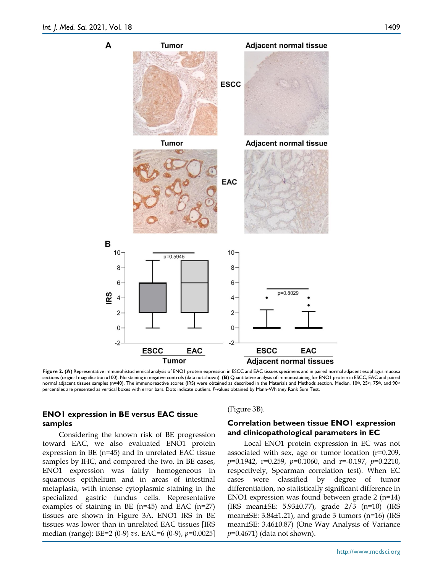

Figure 2. (A) Representative immunohistochemical analysis of ENO1 protein expression in ESCC and EAC tissues specimens and in paired normal adjacent esophagus mucosa sections (original magnification x100). No staining in negative controls (data not shown). **(B)** Quantitative analysis of immunostaining for ENO1 protein in ESCC, EAC and paired normal adjacent tissues samples (n=40). The immunoreactive scores (IRS) were obtained as described in the Materials and Methods section. Median, 10th, 25th, 75th, and 90th percentiles are presented as vertical boxes with error bars. Dots indicate outliers. *P*-values obtained by Mann-Whitney Rank Sum Test.

# **ENO1 expression in BE versus EAC tissue samples**

Considering the known risk of BE progression toward EAC, we also evaluated ENO1 protein expression in BE (n=45) and in unrelated EAC tissue samples by IHC, and compared the two. In BE cases, ENO1 expression was fairly homogeneous in squamous epithelium and in areas of intestinal metaplasia, with intense cytoplasmic staining in the specialized gastric fundus cells. Representative examples of staining in BE (n=45) and EAC (n=27) tissues are shown in Figure 3A. ENO1 IRS in BE tissues was lower than in unrelated EAC tissues [IRS median (range): BE=2 (0-9) *vs*. EAC=6 (0-9), *p*=0.0025] (Figure 3B).

# **Correlation between tissue ENO1 expression and clinicopathological parameters in EC**

Local ENO1 protein expression in EC was not associated with sex, age or tumor location (r=0.209, *p*=0.1942, r=0.259, *p*=0.1060, and r=-0.197, *p*=0.2210, respectively, Spearman correlation test). When EC cases were classified by degree of tumor differentiation, no statistically significant difference in ENO1 expression was found between grade 2 (n=14) (IRS mean±SE: 5.93±0.77), grade 2/3 (n=10) (IRS mean±SE: 3.84±1.21), and grade 3 tumors (n=16) (IRS mean±SE: 3.46±0.87) (One Way Analysis of Variance *p*=0.4671) (data not shown).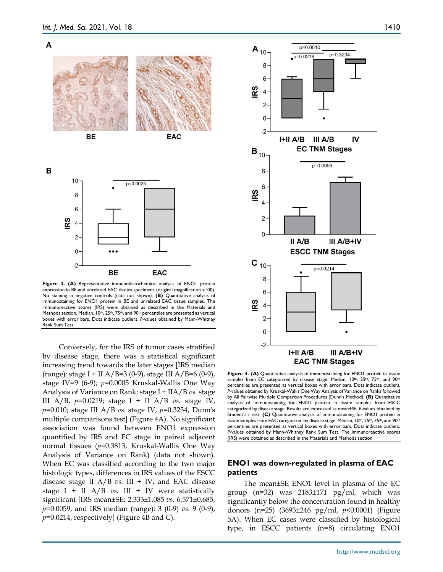



Figure 3. (A) Representative immunohistochemical analysis of ENO1 protein expression in BE and unrelated EAC tissues specimens (original magnification x100). No staining in negative controls (data not shown). **(B)** Quantitative analysis of immunostaining for ENO1 protein in BE and unrelated EAC tissue samples. The immunoreactive scores (IRS) were obtained as described in the Materials and Methods section. Median, 10<sup>th</sup>, 25<sup>th</sup>, 75<sup>th</sup>, and 90<sup>th</sup> percentiles are presented as vertical boxes with error bars. Dots indicate outliers. *P*-values obtained by Mann-Whitney Rank Sum Test.

Conversely, for the IRS of tumor cases stratified by disease stage, there was a statistical significant increasing trend towards the later stages [IRS median (range): stage I + II A/B=3 (0-9), stage III A/B=6 (0-9), stage IV=9 (6-9); *p*=0.0005 Kruskal-Wallis One Way Analysis of Variance on Rank; stage I + IIA/B *vs.* stage III A/B, *p*=0.0219; stage I + II A/B *vs.* stage IV, *p*=0.010; stage III A/B *vs.* stage IV, *p*=0.3234, Dunn's multiple comparisons test] (Figure 4A). No significant association was found between ENO1 expression quantified by IRS and EC stage in paired adjacent normal tissues (*p*=0.3813, Kruskal-Wallis One Way Analysis of Variance on Rank) (data not shown). When EC was classified according to the two major histologic types, differences in IRS values of the ESCC disease stage II  $A/B$  *vs.* III + IV, and EAC disease stage I + II  $A/B$  vs. III + IV were statistically significant [IRS mean±SE: 2.333±1.085 *vs.* 6.571±0.685, *p*=0.0059, and IRS median (range): 3 (0-9) *vs.* 9 (0-9), *p*=0.0214, respectively] (Figure 4B and C).



Figure 4. (A) Quantitative analysis of immunostaining for ENO1 protein in tissue samples from EC categorized by disease stage. Median, 10th, 25th, 75th, and 90th percentiles are presented as vertical boxes with error bars. Dots indicate outliers. *P*-values obtained by Kruskal-Wallis One Way Analysis of Variance on Ranks followed by All Pairwise Multiple Comparison Procedures (Dunn's Method). **(B)** Quantitative analysis of immunostaining for ENO1 protein in tissue samples from ESCC categorized by disease stage. Results are expressed as mean±SE. *P*-values obtained by Student's *t* test. **(C)** Quantitative analysis of immunostaining for ENO1 protein in tissue samples from EAC categorized by disease stage. Median, 10th, 25th, 75th, and 90th percentiles are presented as vertical boxes with error bars. Dots indicate outliers. *P*-values obtained by Mann-Whitney Rank Sum Test. The immunoreactive scores (IRS) were obtained as described in the Materials and Methods section.

#### **ENO1 was down-regulated in plasma of EAC patients**

The mean±SE ENO1 level in plasma of the EC group (n=32) was 2183±171 pg/ml, which was significantly below the concentration found in healthy donors (n=25) (3693±246 pg/ml, *p*<0.0001) (Figure 5A). When EC cases were classified by histological type, in ESCC patients (n=8) circulating ENO1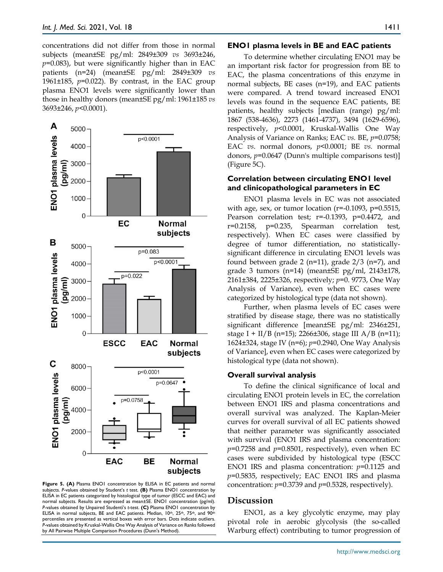concentrations did not differ from those in normal subjects (mean±SE pg/ml: 2849±309 *vs* 3693±246, *p*=0.083), but were significantly higher than in EAC patients (n=24) (mean±SE pg/ml: 2849±309 *vs*  1961±185, *p*=0.022). By contrast, in the EAC group plasma ENO1 levels were significantly lower than those in healthy donors (mean±SE pg/ml: 1961±185 *vs* 3693±246, *p*<0.0001).



Figure 5. (A) Plasma ENO1 concentration by ELISA in EC patients and normal subjects. *P*-values obtained by Student's *t* test. **(B)** Plasma ENO1 concentration by ELISA in EC patients categorized by histological type of tumor (ESCC and EAC) and normal subjects. Results are expressed as mean±SE. ENO1 concentration (pg/ml). *P*-values obtained by Unpaired Studentì's *t*-test. **(C)** Plasma ENO1 concentration by ELISA in normal subjects, BE and EAC patients. Median, 10th, 25th, 75th, and 90th percentiles are presented as vertical boxes with error bars. Dots indicate outliers. *P*-values obtained by Kruskal-Wallis One Way Analysis of Variance on Ranks followed by All Pairwise Multiple Comparison Procedures (Dunn's Method).

#### **ENO1 plasma levels in BE and EAC patients**

To determine whether circulating ENO1 may be an important risk factor for progression from BE to EAC, the plasma concentrations of this enzyme in normal subjects, BE cases (n=19), and EAC patients were compared. A trend toward increased ENO1 levels was found in the sequence EAC patients, BE patients, healthy subjects [median (range) pg/ml: 1867 (538-4636), 2273 (1461-4737), 3494 (1629-6596), respectively, *p*<0.0001, Kruskal-Wallis One Way Analysis of Variance on Ranks; EAC *vs.* BE, *p*=0.0758; EAC *vs*. normal donors, *p*<0.0001; BE *vs.* normal donors, *p*=0.0647 (Dunn's multiple comparisons test)] (Figure 5C).

#### **Correlation between circulating ENO1 level and clinicopathological parameters in EC**

ENO1 plasma levels in EC was not associated with age, sex, or tumor location ( $r=-0.1093$ ,  $p=0.5515$ , Pearson correlation test; r=-0.1393, p=0.4472, and r=0.2158, p=0.235, Spearman correlation test, respectively). When EC cases were classified by degree of tumor differentiation, no statisticallysignificant difference in circulating ENO1 levels was found between grade 2 (n=11), grade  $2/3$  (n=7), and grade 3 tumors (n=14) (mean±SE pg/ml, 2143±178, 2161±384, 2225±326, respectively; *p*=0. 9773, One Way Analysis of Variance), even when EC cases were categorized by histological type (data not shown).

Further, when plasma levels of EC cases were stratified by disease stage, there was no statistically significant difference [mean±SE pg/ml: 2346±251, stage I + II/B (n=15); 2266±306, stage III A/B (n=11); 1624±324, stage IV (n=6); *p*=0.2940, One Way Analysis of Variance], even when EC cases were categorized by histological type (data not shown).

#### **Overall survival analysis**

To define the clinical significance of local and circulating ENO1 protein levels in EC, the correlation between ENO1 IRS and plasma concentrations and overall survival was analyzed. The Kaplan-Meier curves for overall survival of all EC patients showed that neither parameter was significantly associated with survival (ENO1 IRS and plasma concentration:  $p=0.7258$  and  $p=0.8501$ , respectively), even when EC cases were subdivided by histological type (ESCC ENO1 IRS and plasma concentration: *p*=0.1125 and *p*=0.5835, respectively; EAC ENO1 IRS and plasma concentration: *p*=0.3739 and *p*=0.5328, respectively).

#### **Discussion**

ENO1, as a key glycolytic enzyme, may play pivotal role in aerobic glycolysis (the so-called Warburg effect) contributing to tumor progression of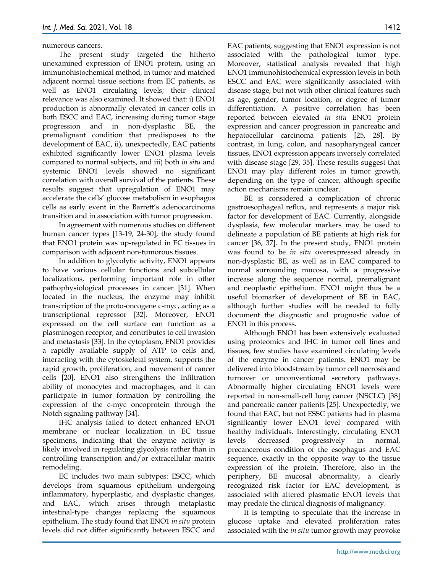#### numerous cancers.

The present study targeted the hitherto unexamined expression of ENO1 protein, using an immunohistochemical method, in tumor and matched adjacent normal tissue sections from EC patients, as well as ENO1 circulating levels; their clinical relevance was also examined. It showed that: i) ENO1 production is abnormally elevated in cancer cells in both ESCC and EAC, increasing during tumor stage progression and in non-dysplastic BE, the premalignant condition that predisposes to the development of EAC, ii), unexpectedly, EAC patients exhibited significantly lower ENO1 plasma levels compared to normal subjects, and iii) both *in situ* and systemic ENO1 levels showed no significant correlation with overall survival of the patients. These results suggest that upregulation of ENO1 may accelerate the cells' glucose metabolism in esophagus cells as early event in the Barrett's adenocarcinoma transition and in association with tumor progression.

In agreement with numerous studies on different human cancer types [13-19, 24-30], the study found that ENO1 protein was up-regulated in EC tissues in comparison with adjacent non-tumorous tissues.

In addition to glycolytic activity, ENO1 appears to have various cellular functions and subcellular localizations, performing important role in other pathophysiological processes in cancer [31]. When located in the nucleus, the enzyme may inhibit transcription of the proto-oncogene c-myc, acting as a transcriptional repressor [32]. Moreover, ENO1 expressed on the cell surface can function as a plasminogen receptor, and contributes to cell invasion and metastasis [33]. In the cytoplasm, ENO1 provides a rapidly available supply of ATP to cells and, interacting with the cytoskeletal system, supports the rapid growth, proliferation, and movement of cancer cells [20]. ENO1 also strengthens the infiltration ability of monocytes and macrophages, and it can participate in tumor formation by controlling the expression of the c-myc oncoprotein through the Notch signaling pathway [34].

IHC analysis failed to detect enhanced ENO1 membrane or nuclear localization in EC tissue specimens, indicating that the enzyme activity is likely involved in regulating glycolysis rather than in controlling transcription and/or extracellular matrix remodeling.

EC includes two main subtypes: ESCC, which develops from squamous epithelium undergoing inflammatory, hyperplastic, and dysplastic changes, and EAC, which arises through metaplastic intestinal-type changes replacing the squamous epithelium. The study found that ENO1 *in situ* protein levels did not differ significantly between ESCC and EAC patients, suggesting that ENO1 expression is not associated with the pathological tumor type. Moreover, statistical analysis revealed that high ENO1 immunohistochemical expression levels in both ESCC and EAC were significantly associated with disease stage, but not with other clinical features such as age, gender, tumor location, or degree of tumor differentiation. A positive correlation has been reported between elevated *in situ* ENO1 protein expression and cancer progression in pancreatic and hepatocellular carcinoma patients [25, 28]. By contrast, in lung, colon, and nasopharyngeal cancer tissues, ENO1 expression appears inversely correlated with disease stage [29, 35]. These results suggest that ENO1 may play different roles in tumor growth, depending on the type of cancer, although specific action mechanisms remain unclear.

BE is considered a complication of chronic gastroesophageal reflux, and represents a major risk factor for development of EAC. Currently, alongside dysplasia, few molecular markers may be used to delineate a population of BE patients at high risk for cancer [36, 37]. In the present study, ENO1 protein was found to be *in situ* overexpressed already in non-dysplastic BE, as well as in EAC compared to normal surrounding mucosa, with a progressive increase along the sequence normal, premalignant and neoplastic epithelium. ENO1 might thus be a useful biomarker of development of BE in EAC, although further studies will be needed to fully document the diagnostic and prognostic value of ENO1 in this process.

Although ENO1 has been extensively evaluated using proteomics and IHC in tumor cell lines and tissues, few studies have examined circulating levels of the enzyme in cancer patients. ENO1 may be delivered into bloodstream by tumor cell necrosis and turnover or unconventional secretory pathways. Abnormally higher circulating ENO1 levels were reported in non-small-cell lung cancer (NSCLC) [38] and pancreatic cancer patients [25]. Unexpectedly, we found that EAC, but not ESSC patients had in plasma significantly lower ENO1 level compared with healthy individuals. Interestingly, circulating ENO1 levels decreased progressively in normal, precancerous condition of the esophagus and EAC sequence, exactly in the opposite way to the tissue expression of the protein. Therefore, also in the periphery, BE mucosal abnormality, a clearly recognized risk factor for EAC development, is associated with altered plasmatic ENO1 levels that may predate the clinical diagnosis of malignancy.

It is tempting to speculate that the increase in glucose uptake and elevated proliferation rates associated with the *in situ* tumor growth may provoke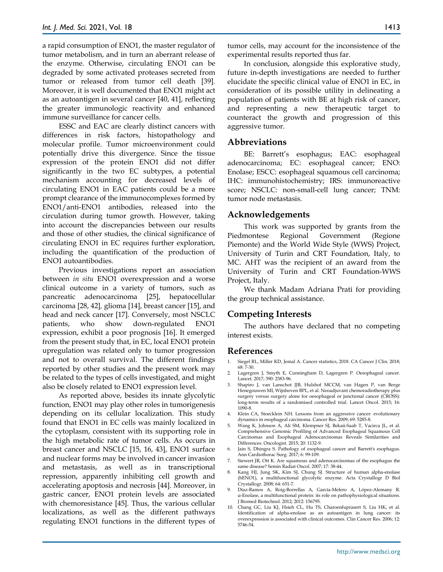a rapid consumption of ENO1, the master regulator of tumor metabolism, and in turn an aberrant release of the enzyme*.* Otherwise, circulating ENO1 can be degraded by some activated proteases secreted from tumor or released from tumor cell death [39]*.*  Moreover, it is well documented that ENO1 might act as an autoantigen in several cancer [40, 41], reflecting the greater immunologic reactivity and enhanced immune surveillance for cancer cells.

ESSC and EAC are clearly distinct cancers with differences in risk factors, histopathology and molecular profile. Tumor microenvironment could potentially drive this divergence. Since the tissue expression of the protein ENO1 did not differ significantly in the two EC subtypes, a potential mechanism accounting for decreased levels of circulating ENO1 in EAC patients could be a more prompt clearance of the immunocomplexes formed by ENO1/anti-ENO1 antibodies, released into the circulation during tumor growth. However, taking into account the discrepancies between our results and those of other studies, the clinical significance of circulating ENO1 in EC requires further exploration, including the quantification of the production of ENO1 autoantibodies.

Previous investigations report an association between *in situ* ENO1 overexpression and a worse clinical outcome in a variety of tumors, such as pancreatic adenocarcinoma [25], hepatocellular carcinoma [28, 42]*,* glioma [14], breast cancer [15], and head and neck cancer [17]. Conversely, most NSCLC patients, who show down-regulated ENO1 expression, exhibit a poor prognosis [16]. It emerged from the present study that, in EC, local ENO1 protein upregulation was related only to tumor progression and not to overall survival. The different findings reported by other studies and the present work may be related to the types of cells investigated, and might also be closely related to ENO1 expression level.

As reported above, besides its innate glycolytic function, ENO1 may play other roles in tumorigenesis depending on its cellular localization. This study found that ENO1 in EC cells was mainly localized in the cytoplasm, consistent with its supporting role in the high metabolic rate of tumor cells. As occurs in breast cancer and NSCLC [15, 16, 43], ENO1 surface and nuclear forms may be involved in cancer invasion and metastasis, as well as in transcriptional repression, apparently inhibiting cell growth and accelerating apoptosis and necrosis [44]. Moreover, in gastric cancer, ENO1 protein levels are associated with chemoresistance [45]. Thus, the various cellular localizations, as well as the different pathways regulating ENO1 functions in the different types of

tumor cells, may account for the inconsistence of the experimental results reported thus far.

In conclusion, alongside this explorative study, future in-depth investigations are needed to further elucidate the specific clinical value of ENO1 in EC, in consideration of its possible utility in delineating a population of patients with BE at high risk of cancer, and representing a new therapeutic target to counteract the growth and progression of this aggressive tumor.

#### **Abbreviations**

BE: Barrett's esophagus; EAC: esophageal adenocarcinoma; EC: esophageal cancer; ENO: Enolase; ESCC: esophageal squamous cell carcinoma; IHC: immunohistochemistry; IRS: immunoreactive score; NSCLC: non-small-cell lung cancer; TNM: tumor node metastasis.

## **Acknowledgements**

This work was supported by grants from the Piedmontese Regional Government (Regione Piemonte) and the World Wide Style (WWS) Project, University of Turin and CRT Foundation, Italy, to MC. AHT was the recipient of an award from the University of Turin and CRT Foundation-WWS Project, Italy.

We thank Madam Adriana Prati for providing the group technical assistance.

# **Competing Interests**

The authors have declared that no competing interest exists.

# **References**

- 1. Siegel RL, Miller KD, Jemal A. Cancer statistics, 2018. CA Cancer J Clin. 2018; 68: 7-30.
- 2. Lagergren J, Smyth E, Cunningham D, Lagergren P. Oesophageal cancer. Lancet. 2017; 390: 2383-96.
- 3. Shapiro J, van Lanschot JJB, Hulshof MCCM, van Hagen P, van Berge Henegouwen MI, Wijnhoven BPL, et al. Neoadjuvant chemoradiotherapy plus surgery versus surgery alone for oesophageal or junctional cancer (CROSS): long-term results of a randomised controlled trial. Lancet Oncol. 2015; 16: 1090-8.
- 4. Klein CA, Stoecklein NH. Lessons from an aggressive cancer: evolutionary dynamics in esophageal carcinoma. Cancer Res. 2009; 69: 5285-8.
- 5. Wang K, Johnson A, Ali SM, Klempner SJ, Bekaii-Saab T, Vacirca JL, et al. Comprehensive Genomic Profiling of Advanced Esophageal Squamous Cell Carcinomas and Esophageal Adenocarcinomas Reveals Similarities and Differences. Oncologist. 2015; 20: 1132-9.
- 6. Jain S, Dhingra S. Pathology of esophageal cancer and Barrett's esophagus. Ann Cardiothorac Surg. 2017; 6: 99-109.
- 7. Siewert JR, Ott K. Are squamous and adenocarcinomas of the esophagus the same disease? Semin Radiat Oncol. 2007; 17: 38-44.
- 8. Kang HJ, Jung SK, Kim SJ, Chung SJ. Structure of human alpha-enolase (hENO1), a multifunctional glycolytic enzyme. Acta Crystallogr D Biol Crystallogr. 2008; 64: 651-7.
- 9. Díaz-Ramos A, Roig-Borrellas A, García-Melero A, López-Alemany R. α-Enolase, a multifunctional protein: its role on pathophysiological situations. J Biomed Biotechnol. 2012; 2012: 156795.
- 10. Chang GC, Liu KJ, Hsieh CL, Hu TS, Charoenfuprasert S, Liu HK, et al. Identification of alpha-enolase as an autoantigen in lung cancer: its overexpression is associated with clinical outcomes. Clin Cancer Res. 2006; 12: 5746-54.